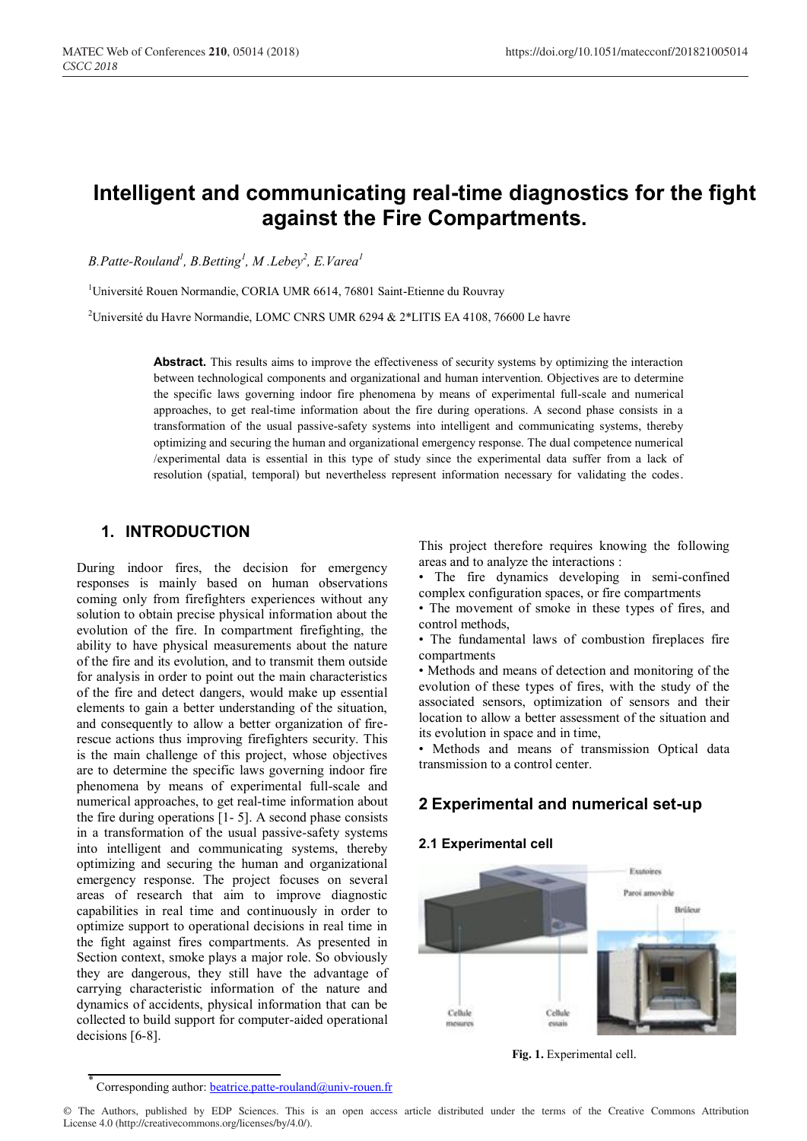# **Intelligent and communicating real-time diagnostics for the fight against the Fire Compartments.**

*B.Patte-Rouland1 , B.Betting<sup>1</sup> , M .Lebey<sup>2</sup> , E.Varea<sup>1</sup>*

<sup>1</sup>Université Rouen Normandie, CORIA UMR 6614, 76801 Saint-Etienne du Rouvray

2 Université du Havre Normandie, LOMC CNRS UMR 6294 & 2\*LITIS EA 4108, 76600 Le havre

Abstract. This results aims to improve the effectiveness of security systems by optimizing the interaction between technological components and organizational and human intervention. Objectives are to determine the specific laws governing indoor fire phenomena by means of experimental full-scale and numerical approaches, to get real-time information about the fire during operations. A second phase consists in a transformation of the usual passive-safety systems into intelligent and communicating systems, thereby optimizing and securing the human and organizational emergency response. The dual competence numerical /experimental data is essential in this type of study since the experimental data suffer from a lack of resolution (spatial, temporal) but nevertheless represent information necessary for validating the codes.

# **1. INTRODUCTION**

During indoor fires, the decision for emergency responses is mainly based on human observations coming only from firefighters experiences without any solution to obtain precise physical information about the evolution of the fire. In compartment firefighting, the ability to have physical measurements about the nature of the fire and its evolution, and to transmit them outside for analysis in order to point out the main characteristics of the fire and detect dangers, would make up essential elements to gain a better understanding of the situation, and consequently to allow a better organization of firerescue actions thus improving firefighters security. This is the main challenge of this project, whose objectives are to determine the specific laws governing indoor fire phenomena by means of experimental full-scale and numerical approaches, to get real-time information about the fire during operations [1- 5]. A second phase consists in a transformation of the usual passive-safety systems into intelligent and communicating systems, thereby optimizing and securing the human and organizational emergency response. The project focuses on several areas of research that aim to improve diagnostic capabilities in real time and continuously in order to optimize support to operational decisions in real time in the fight against fires compartments. As presented in Section context, smoke plays a major role. So obviously they are dangerous, they still have the advantage of carrying characteristic information of the nature and dynamics of accidents, physical information that can be collected to build support for computer-aided operational decisions [6-8].

This project therefore requires knowing the following areas and to analyze the interactions :

• The fire dynamics developing in semi-confined complex configuration spaces, or fire compartments

• The movement of smoke in these types of fires, and control methods,

• The fundamental laws of combustion fireplaces fire compartments

• Methods and means of detection and monitoring of the evolution of these types of fires, with the study of the associated sensors, optimization of sensors and their location to allow a better assessment of the situation and its evolution in space and in time,

• Methods and means of transmission Optical data transmission to a control center.

# **2 Experimental and numerical set-up**

## **2.1 Experimental cell**



**Fig. 1.** Experimental cell.

© The Authors, published by EDP Sciences. This is an open access article distributed under the terms of the Creative Commons Attribution License 4.0 (http://creativecommons.org/licenses/by/4.0/).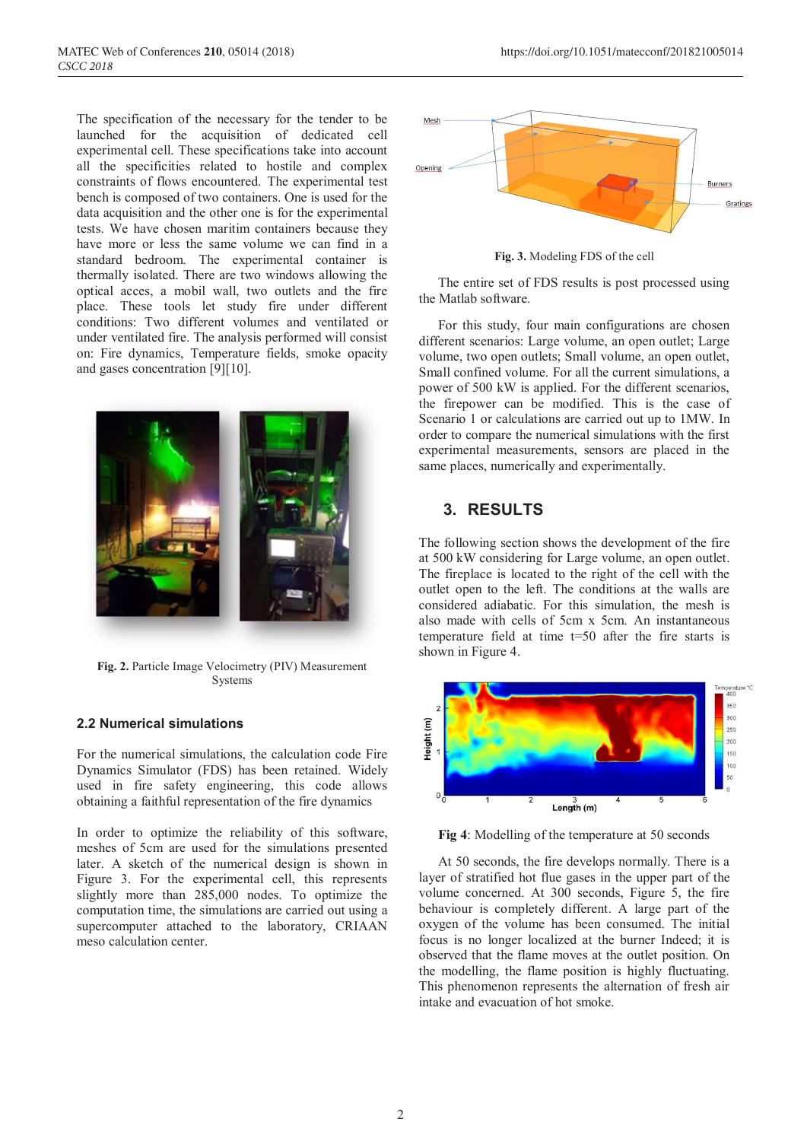The specification of the necessary for the tender to be launched for the acquisition of dedicated cell experimental cell. These specifications take into account all the specificities related to hostile and complex constraints of flows encountered. The experimental test bench is composed of two containers. One is used for the data acquisition and the other one is for the experimental tests. We have chosen maritim containers because they have more or less the same volume we can find in a standard bedroom. The experimental container is thermally isolated. There are two windows allowing the optical acces, a mobil wall, two outlets and the fire place. These tools let study fire under different conditions: Two different volumes and ventilated or under ventilated fire. The analysis performed will consist on: Fire dynamics, Temperature fields, smoke opacity and gases concentration [9][10].



**Fig. 2.** Particle Image Velocimetry (PIV) Measurement Systems

### **2.2 Numerical simulations**

For the numerical simulations, the calculation code Fire Dynamics Simulator (FDS) has been retained. Widely used in fire safety engineering, this code allows obtaining a faithful representation of the fire dynamics

In order to optimize the reliability of this software, meshes of 5cm are used for the simulations presented later. A sketch of the numerical design is shown in Figure 3. For the experimental cell, this represents slightly more than 285,000 nodes. To optimize the computation time, the simulations are carried out using a supercomputer attached to the laboratory, CRIAAN meso calculation center.



**Fig. 3.** Modeling FDS of the cell

The entire set of FDS results is post processed using the Matlab software.

For this study, four main configurations are chosen different scenarios: Large volume, an open outlet; Large volume, two open outlets; Small volume, an open outlet, Small confined volume. For all the current simulations, a power of 500 kW is applied. For the different scenarios, the firepower can be modified. This is the case of Scenario 1 or calculations are carried out up to 1MW. In order to compare the numerical simulations with the first experimental measurements, sensors are placed in the same places, numerically and experimentally.

# **3. RESULTS**

The following section shows the development of the fire at 500 kW considering for Large volume, an open outlet. The fireplace is located to the right of the cell with the outlet open to the left. The conditions at the walls are considered adiabatic. For this simulation, the mesh is also made with cells of 5cm x 5cm. An instantaneous temperature field at time t=50 after the fire starts is shown in Figure 4.



**Fig 4**: Modelling of the temperature at 50 seconds

At 50 seconds, the fire develops normally. There is a layer of stratified hot flue gases in the upper part of the volume concerned. At 300 seconds, Figure 5, the fire behaviour is completely different. A large part of the oxygen of the volume has been consumed. The initial focus is no longer localized at the burner Indeed; it is observed that the flame moves at the outlet position. On the modelling, the flame position is highly fluctuating. This phenomenon represents the alternation of fresh air intake and evacuation of hot smoke.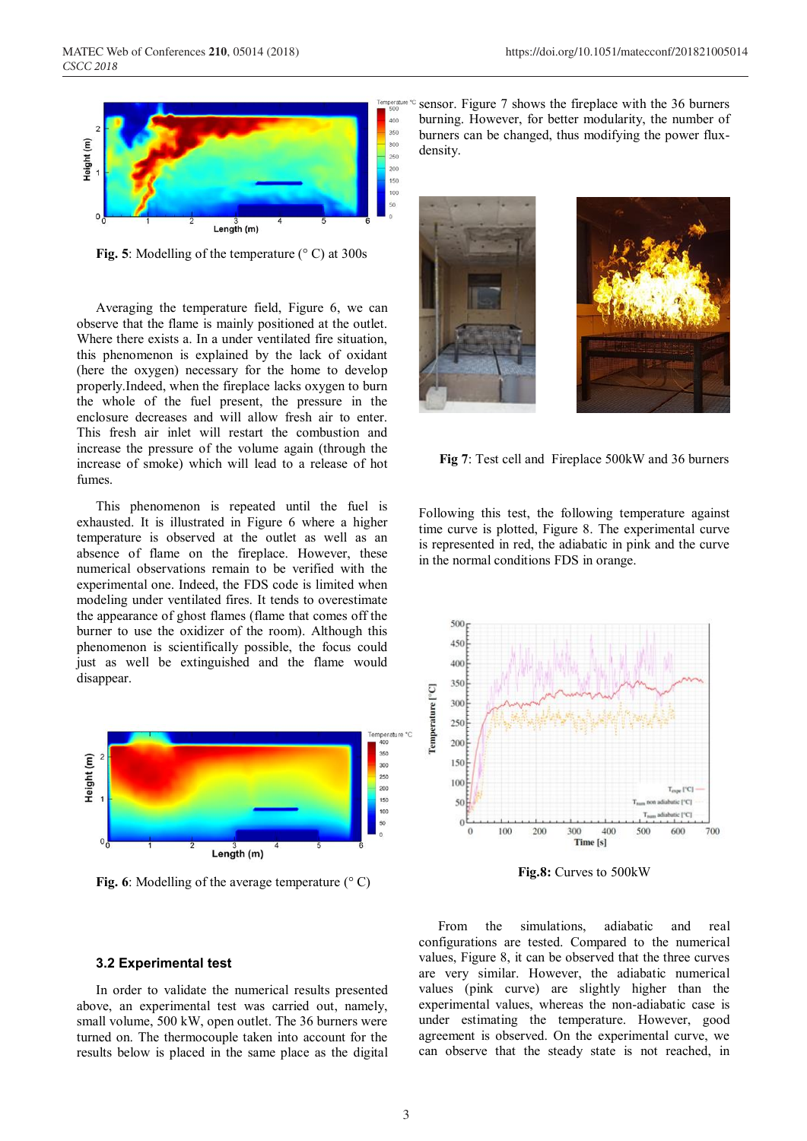

**Fig. 5**: Modelling of the temperature (° C) at 300s

Averaging the temperature field, Figure 6, we can observe that the flame is mainly positioned at the outlet. Where there exists a. In a under ventilated fire situation, this phenomenon is explained by the lack of oxidant (here the oxygen) necessary for the home to develop properly.Indeed, when the fireplace lacks oxygen to burn the whole of the fuel present, the pressure in the enclosure decreases and will allow fresh air to enter. This fresh air inlet will restart the combustion and increase the pressure of the volume again (through the increase of smoke) which will lead to a release of hot fumes.

This phenomenon is repeated until the fuel is exhausted. It is illustrated in Figure 6 where a higher temperature is observed at the outlet as well as an absence of flame on the fireplace. However, these numerical observations remain to be verified with the experimental one. Indeed, the FDS code is limited when modeling under ventilated fires. It tends to overestimate the appearance of ghost flames (flame that comes off the burner to use the oxidizer of the room). Although this phenomenon is scientifically possible, the focus could just as well be extinguished and the flame would disappear.



**Fig. 6**: Modelling of the average temperature (° C)

#### **3.2 Experimental test**

In order to validate the numerical results presented above, an experimental test was carried out, namely, small volume, 500 kW, open outlet. The 36 burners were turned on. The thermocouple taken into account for the results below is placed in the same place as the digital

sensor. Figure 7 shows the fireplace with the 36 burners burning. However, for better modularity, the number of burners can be changed, thus modifying the power fluxdensity.



**Fig 7**: Test cell and Fireplace 500kW and 36 burners

Following this test, the following temperature against time curve is plotted, Figure 8. The experimental curve is represented in red, the adiabatic in pink and the curve in the normal conditions FDS in orange.



**Fig.8:** Curves to 500kW

From the simulations, adiabatic and real configurations are tested. Compared to the numerical values, Figure 8, it can be observed that the three curves are very similar. However, the adiabatic numerical values (pink curve) are slightly higher than the experimental values, whereas the non-adiabatic case is under estimating the temperature. However, good agreement is observed. On the experimental curve, we can observe that the steady state is not reached, in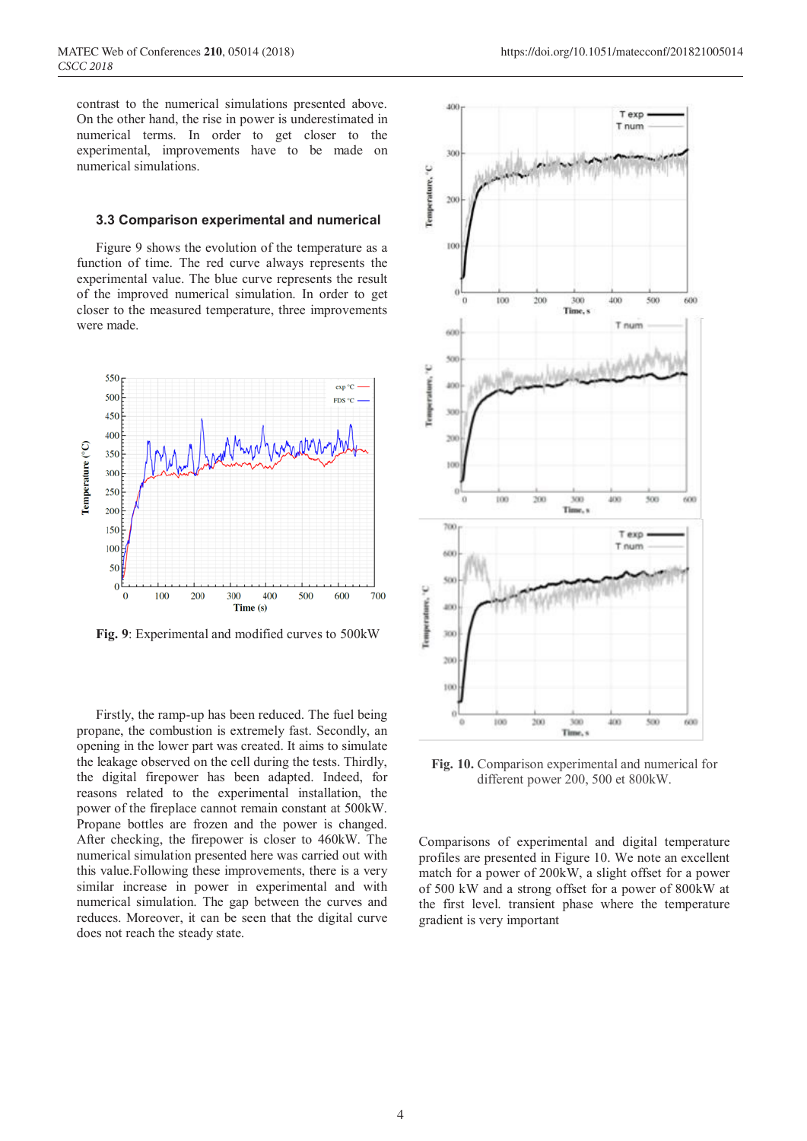contrast to the numerical simulations presented above. On the other hand, the rise in power is underestimated in numerical terms. In order to get closer to the experimental, improvements have to be made on numerical simulations.

#### **3.3 Comparison experimental and numerical**

Figure 9 shows the evolution of the temperature as a function of time. The red curve always represents the experimental value. The blue curve represents the result of the improved numerical simulation. In order to get closer to the measured temperature, three improvements were made.



**Fig. 9**: Experimental and modified curves to 500kW

Firstly, the ramp-up has been reduced. The fuel being propane, the combustion is extremely fast. Secondly, an opening in the lower part was created. It aims to simulate the leakage observed on the cell during the tests. Thirdly, the digital firepower has been adapted. Indeed, for reasons related to the experimental installation, the power of the fireplace cannot remain constant at 500kW. Propane bottles are frozen and the power is changed. After checking, the firepower is closer to 460kW. The numerical simulation presented here was carried out with this value.Following these improvements, there is a very similar increase in power in experimental and with numerical simulation. The gap between the curves and reduces. Moreover, it can be seen that the digital curve does not reach the steady state.



**Fig. 10.** Comparison experimental and numerical for different power 200, 500 et 800kW.

Comparisons of experimental and digital temperature profiles are presented in Figure 10. We note an excellent match for a power of 200kW, a slight offset for a power of 500 kW and a strong offset for a power of 800kW at the first level. transient phase where the temperature gradient is very important